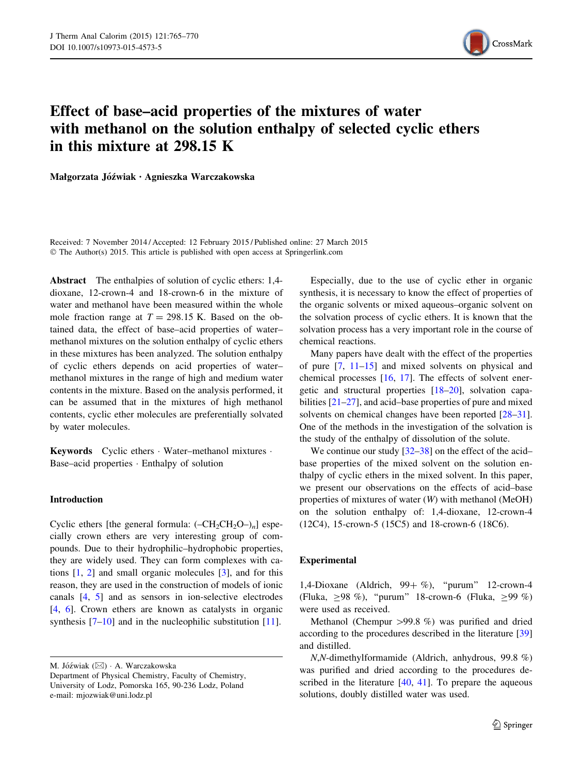

# Effect of base–acid properties of the mixtures of water with methanol on the solution enthalpy of selected cyclic ethers in this mixture at 298.15 K

Małgorzata Jóźwiak • Agnieszka Warczakowska

Received: 7 November 2014 / Accepted: 12 February 2015 / Published online: 27 March 2015 © The Author(s) 2015. This article is published with open access at Springerlink.com

Abstract The enthalpies of solution of cyclic ethers: 1,4 dioxane, 12-crown-4 and 18-crown-6 in the mixture of water and methanol have been measured within the whole mole fraction range at  $T = 298.15$  K. Based on the obtained data, the effect of base–acid properties of water– methanol mixtures on the solution enthalpy of cyclic ethers in these mixtures has been analyzed. The solution enthalpy of cyclic ethers depends on acid properties of water– methanol mixtures in the range of high and medium water contents in the mixture. Based on the analysis performed, it can be assumed that in the mixtures of high methanol contents, cyclic ether molecules are preferentially solvated by water molecules.

Keywords Cyclic ethers - Water–methanol mixtures - Base–acid properties - Enthalpy of solution

#### Introduction

Cyclic ethers [the general formula:  $(-CH_2CH_2O<sub>n</sub>]$  especially crown ethers are very interesting group of compounds. Due to their hydrophilic–hydrophobic properties, they are widely used. They can form complexes with cations  $[1, 2]$  $[1, 2]$  $[1, 2]$  $[1, 2]$  and small organic molecules  $[3]$  $[3]$ , and for this reason, they are used in the construction of models of ionic canals [[4,](#page-4-0) [5](#page-4-0)] and as sensors in ion-selective electrodes [\[4](#page-4-0), [6\]](#page-4-0). Crown ethers are known as catalysts in organic synthesis [\[7–10](#page-4-0)] and in the nucleophilic substitution [[11\]](#page-4-0).

M. Jóźwiak (⊠) · A. Warczakowska

Especially, due to the use of cyclic ether in organic synthesis, it is necessary to know the effect of properties of the organic solvents or mixed aqueous–organic solvent on the solvation process of cyclic ethers. It is known that the solvation process has a very important role in the course of chemical reactions.

Many papers have dealt with the effect of the properties of pure [\[7](#page-4-0), [11–15](#page-4-0)] and mixed solvents on physical and chemical processes [[16,](#page-4-0) [17](#page-4-0)]. The effects of solvent energetic and structural properties [[18–20\]](#page-4-0), solvation capabilities [[21–](#page-4-0)[27\]](#page-5-0), and acid–base properties of pure and mixed solvents on chemical changes have been reported  $[28-31]$ . One of the methods in the investigation of the solvation is the study of the enthalpy of dissolution of the solute.

We continue our study  $[32-38]$  on the effect of the acidbase properties of the mixed solvent on the solution enthalpy of cyclic ethers in the mixed solvent. In this paper, we present our observations on the effects of acid–base properties of mixtures of water (W) with methanol (MeOH) on the solution enthalpy of: 1,4-dioxane, 12-crown-4 (12C4), 15-crown-5 (15C5) and 18-crown-6 (18C6).

## Experimental

1,4-Dioxane (Aldrich,  $99 + \%$ ), "purum" 12-crown-4 (Fluka,  $\geq$ 98 %), "purum" 18-crown-6 (Fluka,  $\geq$ 99 %) were used as received.

Methanol (Chempur  $>99.8$  %) was purified and dried according to the procedures described in the literature [[39\]](#page-5-0) and distilled.

N,N-dimethylformamide (Aldrich, anhydrous, 99.8 %) was purified and dried according to the procedures described in the literature [\[40](#page-5-0), [41\]](#page-5-0). To prepare the aqueous solutions, doubly distilled water was used.

Department of Physical Chemistry, Faculty of Chemistry, University of Lodz, Pomorska 165, 90-236 Lodz, Poland e-mail: mjozwiak@uni.lodz.pl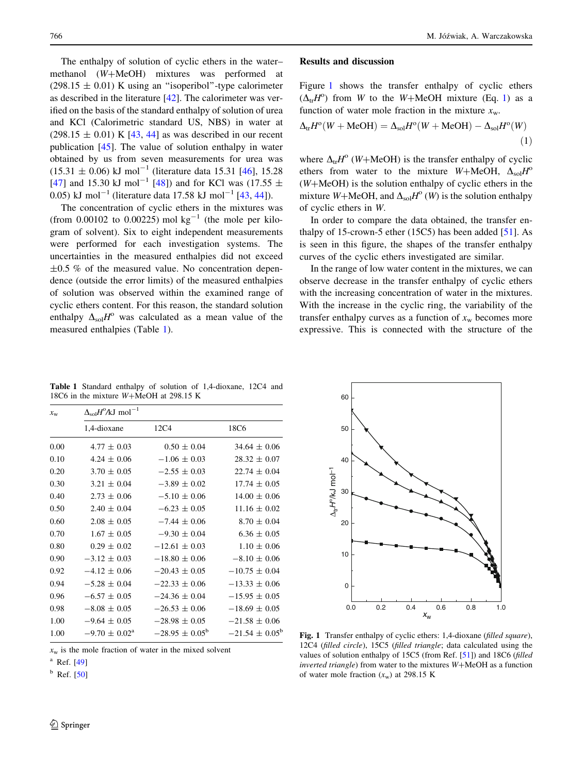<span id="page-1-0"></span>The enthalpy of solution of cyclic ethers in the water– methanol  $(W+MeOH)$  mixtures was performed at  $(298.15 \pm 0.01)$  K using an "isoperibol"-type calorimeter as described in the literature [\[42](#page-5-0)]. The calorimeter was verified on the basis of the standard enthalpy of solution of urea and KCl (Calorimetric standard US, NBS) in water at  $(298.15 \pm 0.01)$  K [[43,](#page-5-0) [44](#page-5-0)] as was described in our recent publication [\[45](#page-5-0)]. The value of solution enthalpy in water obtained by us from seven measurements for urea was  $(15.31 \pm 0.06)$  kJ mol<sup>-1</sup> (literature data 15.31 [[46\]](#page-5-0), 15.28 [\[47](#page-5-0)] and 15.30 kJ mol<sup>-1</sup> [\[48](#page-5-0)]) and for KCl was (17.55  $\pm$ 0.05) kJ mol<sup>-1</sup> (literature data 17.58 kJ mol<sup>-1</sup> [\[43](#page-5-0), [44](#page-5-0)]).

The concentration of cyclic ethers in the mixtures was (from 0.00102 to 0.00225) mol  $kg^{-1}$  (the mole per kilogram of solvent). Six to eight independent measurements were performed for each investigation systems. The uncertainties in the measured enthalpies did not exceed  $\pm 0.5$  % of the measured value. No concentration dependence (outside the error limits) of the measured enthalpies of solution was observed within the examined range of cyclic ethers content. For this reason, the standard solution enthalpy  $\Delta_{sol}H^{\circ}$  was calculated as a mean value of the measured enthalpies (Table 1).

#### Results and discussion

Figure 1 shows the transfer enthalpy of cyclic ethers  $(\Delta_{tr}H^o)$  from W to the W+MeOH mixture (Eq. 1) as a function of water mole fraction in the mixture  $x_w$ .

$$
\Delta_{\rm tr} H^{\rm o}(W + \text{MeOH}) = \Delta_{\rm sol} H^{\rm o}(W + \text{MeOH}) - \Delta_{\rm sol} H^{\rm o}(W) \tag{1}
$$

where  $\Delta_{tr}H^{\circ}$  (W+MeOH) is the transfer enthalpy of cyclic ethers from water to the mixture W+MeOH,  $\Delta_{sol}H^{\circ}$  $(W+MeOH)$  is the solution enthalpy of cyclic ethers in the mixture W+MeOH, and  $\Delta_{sol}H^{\circ}(W)$  is the solution enthalpy of cyclic ethers in W.

In order to compare the data obtained, the transfer enthalpy of 15-crown-5 ether (15C5) has been added  $[51]$  $[51]$ . As is seen in this figure, the shapes of the transfer enthalpy curves of the cyclic ethers investigated are similar.

In the range of low water content in the mixtures, we can observe decrease in the transfer enthalpy of cyclic ethers with the increasing concentration of water in the mixtures. With the increase in the cyclic ring, the variability of the transfer enthalpy curves as a function of  $x_w$  becomes more expressive. This is connected with the structure of the

Table 1 Standard enthalpy of solution of 1,4-dioxane, 12C4 and 18C6 in the mixture  $W+MeOH$  at 298.15 K

| $x_{\rm w}$ | $\Delta_{\rm sol}H^0/\text{kJ mol}^{-1}$ |                           |                           |
|-------------|------------------------------------------|---------------------------|---------------------------|
|             | 1,4-dioxane                              | 12C4                      | 18C6                      |
| 0.00        | $4.77 \pm 0.03$                          | $0.50 \pm 0.04$           | $34.64 \pm 0.06$          |
| 0.10        | $4.24 \pm 0.06$                          | $-1.06 \pm 0.03$          | $28.32 \pm 0.07$          |
| 0.20        | $3.70 \pm 0.05$                          | $-2.55 \pm 0.03$          | $22.74 \pm 0.04$          |
| 0.30        | $3.21 \pm 0.04$                          | $-3.89 \pm 0.02$          | $17.74 \pm 0.05$          |
| 0.40        | $2.73 \pm 0.06$                          | $-5.10 \pm 0.06$          | $14.00 \pm 0.06$          |
| 0.50        | $2.40 \pm 0.04$                          | $-6.23 \pm 0.05$          | $11.16 \pm 0.02$          |
| 0.60        | $2.08 \pm 0.05$                          | $-7.44 \pm 0.06$          | $8.70 \pm 0.04$           |
| 0.70        | $1.67 \pm 0.05$                          | $-9.30 \pm 0.04$          | $6.36 \pm 0.05$           |
| 0.80        | $0.29 \pm 0.02$                          | $-12.61 \pm 0.03$         | $1.10 \pm 0.06$           |
| 0.90        | $-3.12 \pm 0.03$                         | $-18.80 \pm 0.06$         | $-8.10 \pm 0.06$          |
| 0.92        | $-4.12 \pm 0.06$                         | $-20.43 \pm 0.05$         | $-10.75 \pm 0.04$         |
| 0.94        | $-5.28 \pm 0.04$                         | $-22.33 \pm 0.06$         | $-13.33 \pm 0.06$         |
| 0.96        | $-6.57 \pm 0.05$                         | $-24.36 \pm 0.04$         | $-15.95 \pm 0.05$         |
| 0.98        | $-8.08 \pm 0.05$                         | $-26.53 \pm 0.06$         | $-18.69 \pm 0.05$         |
| 1.00        | $-9.64 \pm 0.05$                         | $-28.98 \pm 0.05$         | $-21.58 \pm 0.06$         |
| 1.00        | $-9.70 \pm 0.02^{\text{a}}$              | $-28.95 \pm 0.05^{\circ}$ | $-21.54 \pm 0.05^{\circ}$ |

 $x_w$  is the mole fraction of water in the mixed solvent

 $^a$  Ref. [\[49\]](#page-5-0)

 $<sup>b</sup>$  Ref. [\[50\]](#page-5-0)</sup>



Fig. 1 Transfer enthalpy of cyclic ethers: 1,4-dioxane (filled square), 12C4 (filled circle), 15C5 (filled triangle; data calculated using the values of solution enthalpy of 15C5 (from Ref. [[51\]](#page-5-0)) and 18C6 (filled  $inverted triangle)$  from water to the mixtures  $W + MeOH$  as a function of water mole fraction  $(x_w)$  at 298.15 K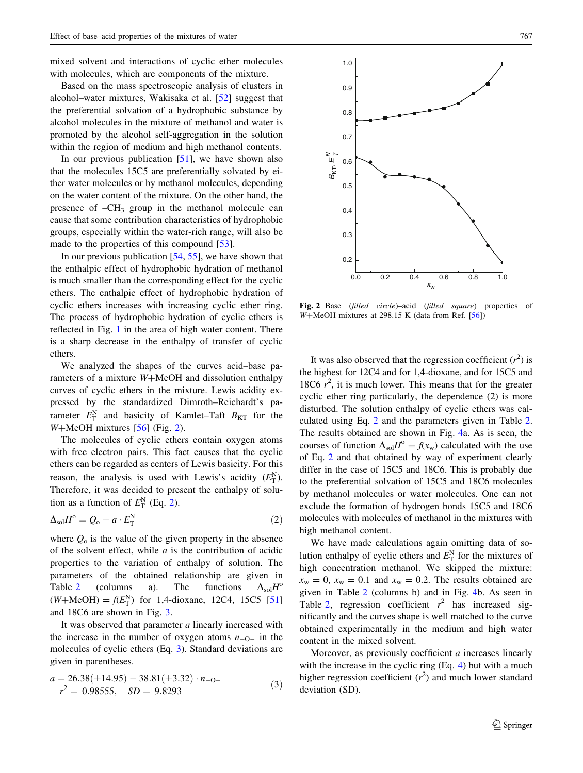<span id="page-2-0"></span>mixed solvent and interactions of cyclic ether molecules with molecules, which are components of the mixture.

Based on the mass spectroscopic analysis of clusters in alcohol–water mixtures, Wakisaka et al. [\[52](#page-5-0)] suggest that the preferential solvation of a hydrophobic substance by alcohol molecules in the mixture of methanol and water is promoted by the alcohol self-aggregation in the solution within the region of medium and high methanol contents.

In our previous publication  $[51]$  $[51]$ , we have shown also that the molecules 15C5 are preferentially solvated by either water molecules or by methanol molecules, depending on the water content of the mixture. On the other hand, the presence of  $-CH_3$  group in the methanol molecule can cause that some contribution characteristics of hydrophobic groups, especially within the water-rich range, will also be made to the properties of this compound [\[53](#page-5-0)].

In our previous publication  $[54, 55]$  $[54, 55]$  $[54, 55]$  $[54, 55]$ , we have shown that the enthalpic effect of hydrophobic hydration of methanol is much smaller than the corresponding effect for the cyclic ethers. The enthalpic effect of hydrophobic hydration of cyclic ethers increases with increasing cyclic ether ring. The process of hydrophobic hydration of cyclic ethers is reflected in Fig. [1](#page-1-0) in the area of high water content. There is a sharp decrease in the enthalpy of transfer of cyclic ethers.

We analyzed the shapes of the curves acid–base parameters of a mixture  $W + MeOH$  and dissolution enthalpy curves of cyclic ethers in the mixture. Lewis acidity expressed by the standardized Dimroth–Reichardt's parameter  $E_{\text{T}}^{\text{N}}$  and basicity of Kamlet–Taft  $B_{\text{KT}}$  for the  $W+MeOH$  mixtures [[56\]](#page-5-0) (Fig. 2).

The molecules of cyclic ethers contain oxygen atoms with free electron pairs. This fact causes that the cyclic ethers can be regarded as centers of Lewis basicity. For this reason, the analysis is used with Lewis's acidity  $(E_{\text{T}}^{\text{N}})$ . Therefore, it was decided to present the enthalpy of solution as a function of  $E_{\rm T}^{\rm N}$  (Eq. 2).

$$
\Delta_{sol}H^o = Q_o + a \cdot E_{\rm T}^{\rm N} \tag{2}
$$

where  $Q_0$  is the value of the given property in the absence of the solvent effect, while  $a$  is the contribution of acidic properties to the variation of enthalpy of solution. The parameters of the obtained relationship are given in Table [2](#page-3-0) (columns a). The functions  $\Delta_{sol}H^{\circ}$  $(W + MeOH) = f(E_T^N)$  for 1,4-dioxane, 12C4, 15C5 [[51\]](#page-5-0) and 18C6 are shown in Fig. [3.](#page-3-0)

It was observed that parameter a linearly increased with the increase in the number of oxygen atoms  $n_{-Q}$  in the molecules of cyclic ethers (Eq. 3). Standard deviations are given in parentheses.

$$
a = 26.38(\pm 14.95) - 38.81(\pm 3.32) \cdot n_{-0} -r^2 = 0.98555, SD = 9.8293
$$
 (3)



Fig. 2 Base (filled circle)–acid (filled square) properties of  $W + MeOH$  mixtures at 298.15 K (data from Ref. [[56](#page-5-0)])

It was also observed that the regression coefficient  $(r^2)$  is the highest for 12C4 and for 1,4-dioxane, and for 15C5 and 18C6  $r^2$ , it is much lower. This means that for the greater cyclic ether ring particularly, the dependence (2) is more disturbed. The solution enthalpy of cyclic ethers was calculated using Eq. 2 and the parameters given in Table [2.](#page-3-0) The results obtained are shown in Fig. [4](#page-4-0)a. As is seen, the courses of function  $\Delta_{sol}H^{\circ} = f(x_{w})$  calculated with the use of Eq. 2 and that obtained by way of experiment clearly differ in the case of 15C5 and 18C6. This is probably due to the preferential solvation of 15C5 and 18C6 molecules by methanol molecules or water molecules. One can not exclude the formation of hydrogen bonds 15C5 and 18C6 molecules with molecules of methanol in the mixtures with high methanol content.

We have made calculations again omitting data of solution enthalpy of cyclic ethers and  $E_{\text{T}}^{\text{N}}$  for the mixtures of high concentration methanol. We skipped the mixture:  $x_w = 0$ ,  $x_w = 0.1$  and  $x_w = 0.2$ . The results obtained are given in Table [2](#page-3-0) (columns b) and in Fig. [4b](#page-4-0). As seen in Table [2](#page-3-0), regression coefficient  $r^2$  has increased significantly and the curves shape is well matched to the curve obtained experimentally in the medium and high water content in the mixed solvent.

Moreover, as previously coefficient a increases linearly with the increase in the cyclic ring (Eq. 4) but with a much higher regression coefficient  $(r^2)$  and much lower standard deviation (SD).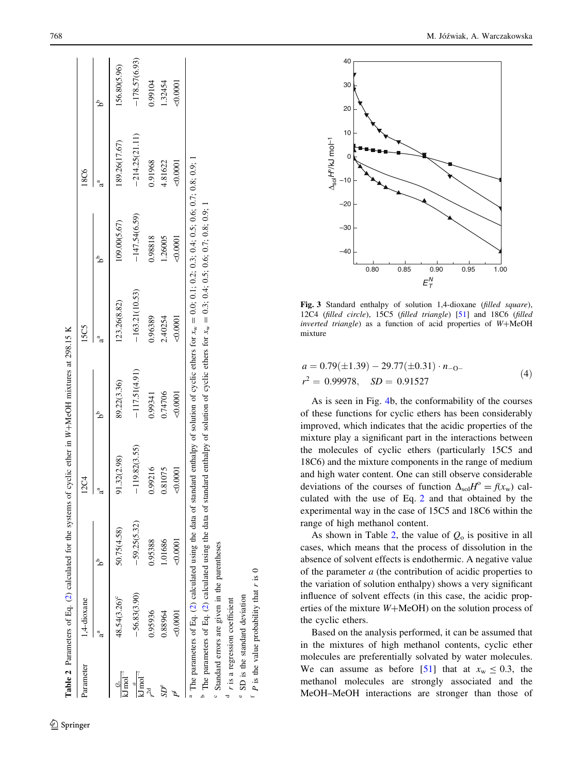<span id="page-3-0"></span>

| Parameter                                | 1,4-dioxane              |                | 12C4             |                 | 15C5             |                 | 18C6             |                 |
|------------------------------------------|--------------------------|----------------|------------------|-----------------|------------------|-----------------|------------------|-----------------|
|                                          |                          |                |                  |                 |                  |                 |                  |                 |
| $\frac{\omega_0}{kJ \, \text{mol}^{-1}}$ | 48.54(3.26) <sup>c</sup> | 50.75(4.58)    | 91.32(2.98)      | 89.22(3.36)     | 123.26(8.82)     | 109.00(5.67)    | 189.26(17.67)    | 156.80(5.96)    |
| $k\overline{\text{J mol}}^{-1}$          | $-56.83(3.90)$           | $-59.25(5.32)$ | 19.82(3.55)<br>Ï | $-117.51(4.91)$ | $-163.21(10.53)$ | $-147.54(6.59)$ | $-214.25(21.11)$ | $-178.57(6.93)$ |
|                                          | 0.95936                  | 0.95388        | 0.99216          | 0.99341         | 0.96389          | 0.98818         | 0.91968          | 1.99104         |
| $SD^e$                                   | 0.88964                  | .01686         | 0.81075          | 0.74706         | 2.40254          | 1.26005         | 4.81622          | .32454          |
|                                          | $<\!\!0.0001$            | 50.0001        |                  | 50,0001         | 0.0001           | $-0.0001$       | $-0.0001$        | $-0.0001$       |

c

d

e

 SD is the standard deviation  $f$   $\boldsymbol{P}$  is the value probability that  $\boldsymbol{r}$  is  $0$  $P$  is the value probability that  $r$  is 0

SD is the standard deviation

r is a regression coefficient is a regression coefficient

Standard errors are given in the parentheses

Standard errors are given in the parentheses



Fig. 3 Standard enthalpy of solution 1,4-dioxane (filled square), 12C4 (filled circle), 15C5 (filled triangle) [\[51\]](#page-5-0) and 18C6 (filled inverted triangle) as a function of acid properties of  $W + MeOH$ mixture

$$
a = 0.79(\pm 1.39) - 29.77(\pm 0.31) \cdot n_{-0} -r^2 = 0.99978, \quad SD = 0.91527
$$
 (4)

As is seen in Fig. [4](#page-4-0)b, the conformability of the courses of these functions for cyclic ethers has been considerably improved, which indicates that the acidic properties of the mixture play a significant part in the interactions between the molecules of cyclic ethers (particularly 15C5 and 18C6) and the mixture components in the range of medium and high water content. One can still observe considerable deviations of the courses of function  $\Delta_{sol}H^{\circ} = f(x_w)$  calculated with the use of Eq. [2](#page-2-0) and that obtained by the experimental way in the case of 15C5 and 18C6 within the range of high methanol content.

As shown in Table 2, the value of  $Q_0$  is positive in all cases, which means that the process of dissolution in the absence of solvent effects is endothermic. A negative value of the parameter a (the contribution of acidic properties to the variation of solution enthalpy) shows a very significant influence of solvent effects (in this case, the acidic properties of the mixture  $W + \text{MeOH}$ ) on the solution process of the cyclic ethers.

Based on the analysis performed, it can be assumed that in the mixtures of high methanol contents, cyclic ether molecules are preferentially solvated by water molecules. We can assume as before [[51\]](#page-5-0) that at  $x_w \le 0.3$ , the methanol molecules are strongly associated and the MeOH–MeOH interactions are stronger than those of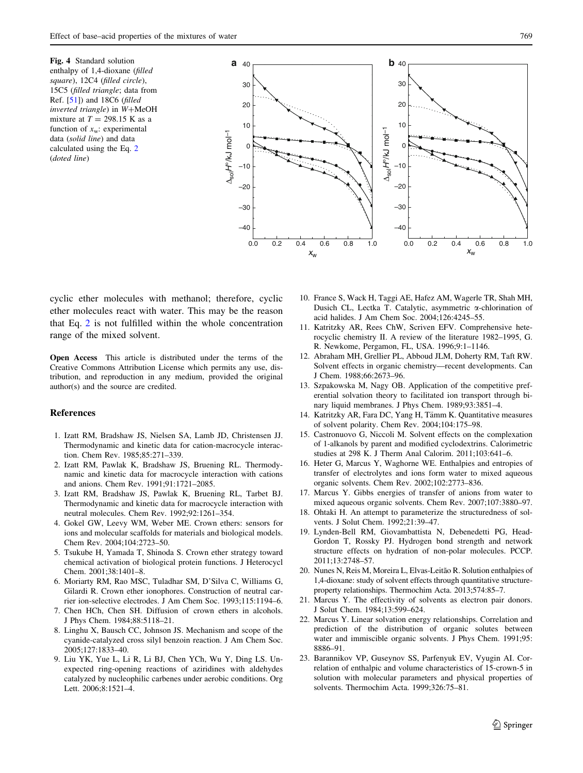<span id="page-4-0"></span>Fig. 4 Standard solution enthalpy of 1,4-dioxane (filled square), 12C4 (filled circle), 15C5 (filled triangle; data from Ref. [\[51\]](#page-5-0)) and 18C6 (filled inverted triangle) in W+MeOH mixture at  $T = 298.15$  K as a function of  $x_w$ : experimental data (solid line) and data calculated using the Eq. [2](#page-2-0) (doted line)



cyclic ether molecules with methanol; therefore, cyclic ether molecules react with water. This may be the reason that Eq. [2](#page-2-0) is not fulfilled within the whole concentration range of the mixed solvent.

Open Access This article is distributed under the terms of the Creative Commons Attribution License which permits any use, distribution, and reproduction in any medium, provided the original author(s) and the source are credited.

## References

- 1. Izatt RM, Bradshaw JS, Nielsen SA, Lamb JD, Christensen JJ. Thermodynamic and kinetic data for cation-macrocycle interaction. Chem Rev. 1985;85:271–339.
- 2. Izatt RM, Pawlak K, Bradshaw JS, Bruening RL. Thermodynamic and kinetic data for macrocycle interaction with cations and anions. Chem Rev. 1991;91:1721–2085.
- 3. Izatt RM, Bradshaw JS, Pawlak K, Bruening RL, Tarbet BJ. Thermodynamic and kinetic data for macrocycle interaction with neutral molecules. Chem Rev. 1992;92:1261–354.
- 4. Gokel GW, Leevy WM, Weber ME. Crown ethers: sensors for ions and molecular scaffolds for materials and biological models. Chem Rev. 2004;104:2723–50.
- 5. Tsukube H, Yamada T, Shinoda S. Crown ether strategy toward chemical activation of biological protein functions. J Heterocycl Chem. 2001;38:1401–8.
- 6. Moriarty RM, Rao MSC, Tuladhar SM, D'Silva C, Williams G, Gilardi R. Crown ether ionophores. Construction of neutral carrier ion-selective electrodes. J Am Chem Soc. 1993;115:1194–6.
- 7. Chen HCh, Chen SH. Diffusion of crown ethers in alcohols. J Phys Chem. 1984;88:5118–21.
- 8. Linghu X, Bausch CC, Johnson JS. Mechanism and scope of the cyanide-catalyzed cross silyl benzoin reaction. J Am Chem Soc. 2005;127:1833–40.
- 9. Liu YK, Yue L, Li R, Li BJ, Chen YCh, Wu Y, Ding LS. Unexpected ring-opening reactions of aziridines with aldehydes catalyzed by nucleophilic carbenes under aerobic conditions. Org Lett. 2006;8:1521–4.
- 10. France S, Wack H, Taggi AE, Hafez AM, Wagerle TR, Shah MH, Dusich CL, Lectka T. Catalytic, asymmetric a-chlorination of acid halides. J Am Chem Soc. 2004;126:4245–55.
- 11. Katritzky AR, Rees ChW, Scriven EFV. Comprehensive heterocyclic chemistry II. A review of the literature 1982–1995, G. R. Newkome, Pergamon, FL, USA. 1996;9:1–1146.
- 12. Abraham MH, Grellier PL, Abboud JLM, Doherty RM, Taft RW. Solvent effects in organic chemistry—recent developments. Can J Chem. 1988;66:2673–96.
- 13. Szpakowska M, Nagy OB. Application of the competitive preferential solvation theory to facilitated ion transport through binary liquid membranes. J Phys Chem. 1989;93:3851–4.
- 14. Katritzky AR, Fara DC, Yang H, Tämm K. Quantitative measures of solvent polarity. Chem Rev. 2004;104:175–98.
- 15. Castronuovo G, Niccoli M. Solvent effects on the complexation of 1-alkanols by parent and modified cyclodextrins. Calorimetric studies at 298 K. J Therm Anal Calorim. 2011;103:641–6.
- 16. Heter G, Marcus Y, Waghorne WE. Enthalpies and entropies of transfer of electrolytes and ions form water to mixed aqueous organic solvents. Chem Rev. 2002;102:2773–836.
- 17. Marcus Y. Gibbs energies of transfer of anions from water to mixed aqueous organic solvents. Chem Rev. 2007;107:3880–97.
- 18. Ohtaki H. An attempt to parameterize the structuredness of solvents. J Solut Chem. 1992;21:39–47.
- 19. Lynden-Bell RM, Giovambattista N, Debenedetti PG, Head-Gordon T, Rossky PJ. Hydrogen bond strength and network structure effects on hydration of non-polar molecules. PCCP. 2011;13:2748–57.
- 20. Nunes N, Reis M, Moreira L, Elvas-Leitão R. Solution enthalpies of 1,4-dioxane: study of solvent effects through quantitative structureproperty relationships. Thermochim Acta. 2013;574:85–7.
- 21. Marcus Y. The effectivity of solvents as electron pair donors. J Solut Chem. 1984;13:599–624.
- 22. Marcus Y. Linear solvation energy relationships. Correlation and prediction of the distribution of organic solutes between water and immiscible organic solvents. J Phys Chem. 1991;95: 8886–91.
- 23. Barannikov VP, Guseynov SS, Parfenyuk EV, Vyugin AI. Correlation of enthalpic and volume characteristics of 15-crown-5 in solution with molecular parameters and physical properties of solvents. Thermochim Acta. 1999;326:75–81.